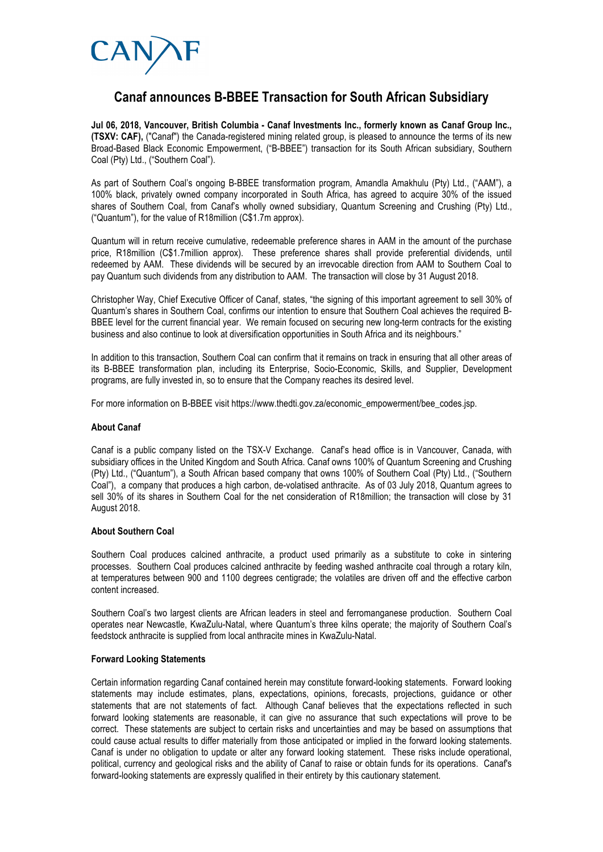

## **Canaf announces B-BBEE Transaction for South African Subsidiary**

**Jul 06, 2018, Vancouver, British Columbia - Canaf Investments Inc., formerly known as Canaf Group Inc., (TSXV: CAF),** ("Canaf") the Canada-registered mining related group, is pleased to announce the terms of its new Broad-Based Black Economic Empowerment, ("B-BBEE") transaction for its South African subsidiary, Southern Coal (Pty) Ltd., ("Southern Coal").

As part of Southern Coal's ongoing B-BBEE transformation program, Amandla Amakhulu (Pty) Ltd., ("AAM"), a 100% black, privately owned company incorporated in South Africa, has agreed to acquire 30% of the issued shares of Southern Coal, from Canaf's wholly owned subsidiary, Quantum Screening and Crushing (Pty) Ltd., ("Quantum"), for the value of R18million (C\$1.7m approx).

Quantum will in return receive cumulative, redeemable preference shares in AAM in the amount of the purchase price, R18million (C\$1.7million approx). These preference shares shall provide preferential dividends, until redeemed by AAM. These dividends will be secured by an irrevocable direction from AAM to Southern Coal to pay Quantum such dividends from any distribution to AAM. The transaction will close by 31 August 2018.

Christopher Way, Chief Executive Officer of Canaf, states, "the signing of this important agreement to sell 30% of Quantum's shares in Southern Coal, confirms our intention to ensure that Southern Coal achieves the required B-BBEE level for the current financial year. We remain focused on securing new long-term contracts for the existing business and also continue to look at diversification opportunities in South Africa and its neighbours."

In addition to this transaction, Southern Coal can confirm that it remains on track in ensuring that all other areas of its B-BBEE transformation plan, including its Enterprise, Socio-Economic, Skills, and Supplier, Development programs, are fully invested in, so to ensure that the Company reaches its desired level.

For more information on B-BBEE visit https://www.thedti.gov.za/economic\_empowerment/bee\_codes.jsp.

## **About Canaf**

Canaf is a public company listed on the TSX-V Exchange. Canaf's head office is in Vancouver, Canada, with subsidiary offices in the United Kingdom and South Africa. Canaf owns 100% of Quantum Screening and Crushing (Pty) Ltd., ("Quantum"), a South African based company that owns 100% of Southern Coal (Pty) Ltd., ("Southern Coal"), a company that produces a high carbon, de-volatised anthracite. As of 03 July 2018, Quantum agrees to sell 30% of its shares in Southern Coal for the net consideration of R18million; the transaction will close by 31 August 2018.

## **About Southern Coal**

Southern Coal produces calcined anthracite, a product used primarily as a substitute to coke in sintering processes. Southern Coal produces calcined anthracite by feeding washed anthracite coal through a rotary kiln, at temperatures between 900 and 1100 degrees centigrade; the volatiles are driven off and the effective carbon content increased.

Southern Coal's two largest clients are African leaders in steel and ferromanganese production. Southern Coal operates near Newcastle, KwaZulu-Natal, where Quantum's three kilns operate; the majority of Southern Coal's feedstock anthracite is supplied from local anthracite mines in KwaZulu-Natal.

## **Forward Looking Statements**

Certain information regarding Canaf contained herein may constitute forward-looking statements. Forward looking statements may include estimates, plans, expectations, opinions, forecasts, projections, guidance or other statements that are not statements of fact. Although Canaf believes that the expectations reflected in such forward looking statements are reasonable, it can give no assurance that such expectations will prove to be correct. These statements are subject to certain risks and uncertainties and may be based on assumptions that could cause actual results to differ materially from those anticipated or implied in the forward looking statements. Canaf is under no obligation to update or alter any forward looking statement. These risks include operational, political, currency and geological risks and the ability of Canaf to raise or obtain funds for its operations. Canaf's forward-looking statements are expressly qualified in their entirety by this cautionary statement.